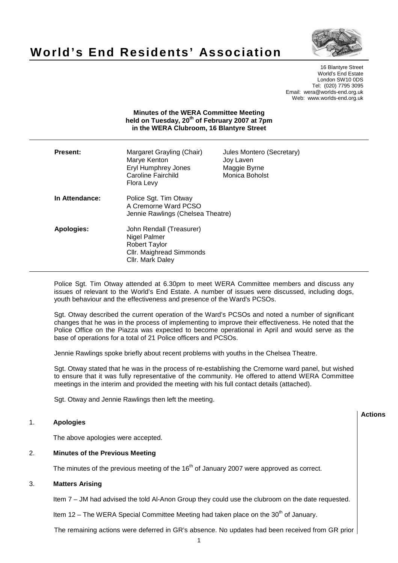

**Actions**

# **World's End Residents' Association**

16 Blantyre Street World's End Estate London SW10 0DS Tel: (020) 7795 3095 Email: wera@worlds-end.org.uk Web: www.worlds-end.org.uk

# **Minutes of the WERA Committee Meeting held on Tuesday, 20th of February 2007 at 7pm in the WERA Clubroom, 16 Blantyre Street**

| Present:       | Margaret Grayling (Chair)<br>Marye Kenton<br><b>Eryl Humphrey Jones</b><br>Caroline Fairchild<br>Flora Levy      | Jules Montero (Secretary)<br>Joy Laven<br>Maggie Byrne<br>Monica Boholst |
|----------------|------------------------------------------------------------------------------------------------------------------|--------------------------------------------------------------------------|
| In Attendance: | Police Sgt. Tim Otway<br>A Cremorne Ward PCSO<br>Jennie Rawlings (Chelsea Theatre)                               |                                                                          |
| Apologies:     | John Rendall (Treasurer)<br>Nigel Palmer<br><b>Robert Taylor</b><br>Cllr. Maighread Simmonds<br>Cllr. Mark Daley |                                                                          |

Police Sgt. Tim Otway attended at 6.30pm to meet WERA Committee members and discuss any issues of relevant to the World's End Estate. A number of issues were discussed, including dogs, youth behaviour and the effectiveness and presence of the Ward's PCSOs.

Sgt. Otway described the current operation of the Ward's PCSOs and noted a number of significant changes that he was in the process of implementing to improve their effectiveness. He noted that the Police Office on the Piazza was expected to become operational in April and would serve as the base of operations for a total of 21 Police officers and PCSOs.

Jennie Rawlings spoke briefly about recent problems with youths in the Chelsea Theatre.

Sgt. Otway stated that he was in the process of re-establishing the Cremorne ward panel, but wished to ensure that it was fully representative of the community. He offered to attend WERA Committee meetings in the interim and provided the meeting with his full contact details (attached).

Sgt. Otway and Jennie Rawlings then left the meeting.

# 1. **Apologies**

The above apologies were accepted.

#### 2. **Minutes of the Previous Meeting**

The minutes of the previous meeting of the  $16<sup>th</sup>$  of January 2007 were approved as correct.

# 3. **Matters Arising**

Item 7 – JM had advised the told Al-Anon Group they could use the clubroom on the date requested.

Item  $12$  – The WERA Special Committee Meeting had taken place on the 30<sup>th</sup> of January.

The remaining actions were deferred in GR's absence. No updates had been received from GR prior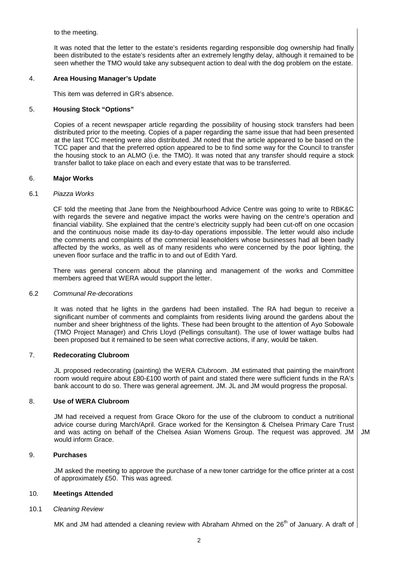to the meeting.

It was noted that the letter to the estate's residents regarding responsible dog ownership had finally been distributed to the estate's residents after an extremely lengthy delay, although it remained to be seen whether the TMO would take any subsequent action to deal with the dog problem on the estate.

#### 4. **Area Housing Manager's Update**

This item was deferred in GR's absence.

## 5. **Housing Stock "Options"**

Copies of a recent newspaper article regarding the possibility of housing stock transfers had been distributed prior to the meeting. Copies of a paper regarding the same issue that had been presented at the last TCC meeting were also distributed. JM noted that the article appeared to be based on the TCC paper and that the preferred option appeared to be to find some way for the Council to transfer the housing stock to an ALMO (i.e. the TMO). It was noted that any transfer should require a stock transfer ballot to take place on each and every estate that was to be transferred.

#### 6. **Major Works**

#### 6.1 Piazza Works

 CF told the meeting that Jane from the Neighbourhood Advice Centre was going to write to RBK&C with regards the severe and negative impact the works were having on the centre's operation and financial viability. She explained that the centre's electricity supply had been cut-off on one occasion and the continuous noise made its day-to-day operations impossible. The letter would also include the comments and complaints of the commercial leaseholders whose businesses had all been badly affected by the works, as well as of many residents who were concerned by the poor lighting, the uneven floor surface and the traffic in to and out of Edith Yard.

 There was general concern about the planning and management of the works and Committee members agreed that WERA would support the letter.

#### 6.2 Communal Re-decorations

It was noted that he lights in the gardens had been installed. The RA had begun to receive a significant number of comments and complaints from residents living around the gardens about the number and sheer brightness of the lights. These had been brought to the attention of Ayo Sobowale (TMO Project Manager) and Chris Lloyd (Pellings consultant). The use of lower wattage bulbs had been proposed but it remained to be seen what corrective actions, if any, would be taken.

## 7. **Redecorating Clubroom**

JL proposed redecorating (painting) the WERA Clubroom. JM estimated that painting the main/front room would require about £80-£100 worth of paint and stated there were sufficient funds in the RA's bank account to do so. There was general agreement. JM. JL and JM would progress the proposal.

#### 8. **Use of WERA Clubroom**

JM had received a request from Grace Okoro for the use of the clubroom to conduct a nutritional advice course during March/April. Grace worked for the Kensington & Chelsea Primary Care Trust and was acting on behalf of the Chelsea Asian Womens Group. The request was approved. JM would inform Grace. JM

#### 9. **Purchases**

JM asked the meeting to approve the purchase of a new toner cartridge for the office printer at a cost of approximately £50. This was agreed.

#### 10. **Meetings Attended**

#### 10.1 Cleaning Review

MK and JM had attended a cleaning review with Abraham Ahmed on the 26<sup>th</sup> of January. A draft of